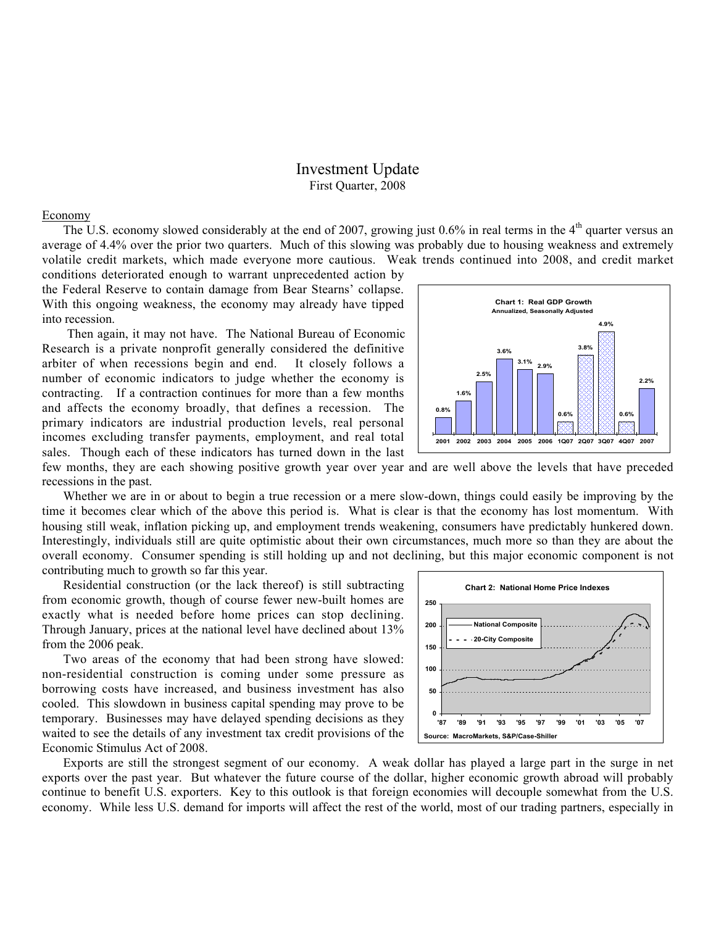## Investment Update First Quarter, 2008

## Economy

The U.S. economy slowed considerably at the end of 2007, growing just  $0.6\%$  in real terms in the  $4<sup>th</sup>$  quarter versus an average of 4.4% over the prior two quarters. Much of this slowing was probably due to housing weakness and extremely volatile credit markets, which made everyone more cautious. Weak trends continued into 2008, and credit market

conditions deteriorated enough to warrant unprecedented action by the Federal Reserve to contain damage from Bear Stearns' collapse. With this ongoing weakness, the economy may already have tipped into recession.

Then again, it may not have. The National Bureau of Economic Research is a private nonprofit generally considered the definitive arbiter of when recessions begin and end. It closely follows a number of economic indicators to judge whether the economy is contracting. If a contraction continues for more than a few months and affects the economy broadly, that defines a recession. The primary indicators are industrial production levels, real personal incomes excluding transfer payments, employment, and real total sales. Though each of these indicators has turned down in the last



few months, they are each showing positive growth year over year and are well above the levels that have preceded recessions in the past.

Whether we are in or about to begin a true recession or a mere slow-down, things could easily be improving by the time it becomes clear which of the above this period is. What is clear is that the economy has lost momentum. With housing still weak, inflation picking up, and employment trends weakening, consumers have predictably hunkered down. Interestingly, individuals still are quite optimistic about their own circumstances, much more so than they are about the overall economy. Consumer spending is still holding up and not declining, but this major economic component is not contributing much to growth so far this year.

Residential construction (or the lack thereof) is still subtracting from economic growth, though of course fewer new-built homes are exactly what is needed before home prices can stop declining. Through January, prices at the national level have declined about 13% from the 2006 peak.

Two areas of the economy that had been strong have slowed: non-residential construction is coming under some pressure as borrowing costs have increased, and business investment has also cooled. This slowdown in business capital spending may prove to be temporary. Businesses may have delayed spending decisions as they waited to see the details of any investment tax credit provisions of the Economic Stimulus Act of 2008.



Exports are still the strongest segment of our economy. A weak dollar has played a large part in the surge in net exports over the past year. But whatever the future course of the dollar, higher economic growth abroad will probably continue to benefit U.S. exporters. Key to this outlook is that foreign economies will decouple somewhat from the U.S. economy. While less U.S. demand for imports will affect the rest of the world, most of our trading partners, especially in